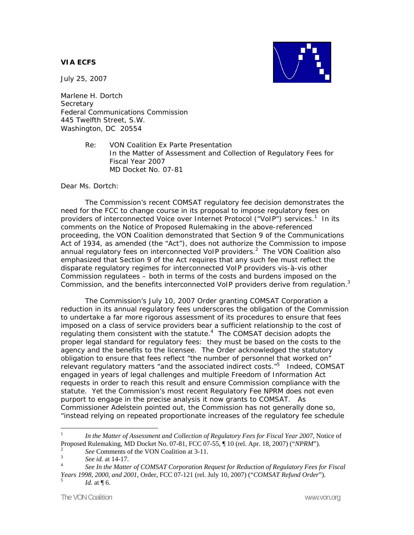## *VIA ECFS*



July 25, 2007

Marlene H. Dortch **Secretary** Federal Communications Commission 445 Twelfth Street, S.W. Washington, DC 20554

> Re: VON Coalition *Ex Parte* Presentation *In the Matter of Assessment and Collection of Regulatory Fees for Fiscal Year 2007*  MD Docket No. 07-81

Dear Ms. Dortch:

 The Commission's recent COMSAT regulatory fee decision demonstrates the need for the FCC to change course in its proposal to impose regulatory fees on providers of interconnected Voice over Internet Protocol ("VoIP") services.<sup>1</sup> In its comments on the *Notice of Proposed Rulemaking* in the above-referenced proceeding, the VON Coalition demonstrated that Section 9 of the Communications Act of 1934, as amended (the "Act"), does not authorize the Commission to impose annual regulatory fees on interconnected VoIP providers.<sup>2</sup> The VON Coalition also emphasized that Section 9 of the Act requires that any such fee must reflect the disparate regulatory regimes for interconnected VoIP providers vis-à-vis other Commission regulatees – both in terms of the costs and burdens imposed on the Commission, and the benefits interconnected VoIP providers derive from regulation. $3$ 

The Commission's July 10, 2007 *Order* granting COMSAT Corporation a reduction in its annual regulatory fees underscores the obligation of the Commission to undertake a far more rigorous assessment of its procedures to ensure that fees imposed on a class of service providers bear a sufficient relationship to the cost of regulating them consistent with the statute. $4$  The COMSAT decision adopts the proper legal standard for regulatory fees: they must be based on the costs to the agency and the benefits to the licensee. The Order acknowledged the statutory obligation to ensure that fees reflect "the number of personnel that worked on" relevant regulatory matters "and the associated indirect costs."<sup>5</sup> Indeed, COMSAT engaged in years of legal challenges and multiple Freedom of Information Act requests in order to reach this result and ensure Commission compliance with the statute. Yet the Commission's most recent Regulatory Fee NPRM does not even purport to engage in the precise analysis it now grants to COMSAT. As Commissioner Adelstein pointed out, the Commission has not generally done so, "instead relying on repeated proportionate increases of the regulatory fee schedule

 $\frac{1}{1}$  *In the Matter of Assessment and Collection of Regulatory Fees for Fiscal Year 2007*, Notice of Proposed Rulemaking, MD Docket No. 07-81, FCC 07-55, ¶ 10 (rel. Apr. 18, 2007) ("*NPRM*"). 2

 $\frac{2}{3}$  See Comments of the VON Coalition at 3-11.

 $\int_{4}^{3}$  *See id.* at 14-17.

*See In the Matter of COMSAT Corporation Request for Reduction of Regulatory Fees for Fiscal Years 1998, 2000, and 2001*, Order, FCC 07-121 (rel. July 10, 2007) ("*COMSAT Refund Order*"). 5

*Id.* at  $\P$  6.